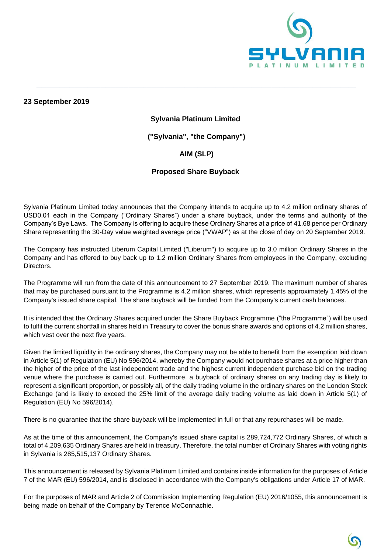

**23 September 2019**

#### **Sylvania Platinum Limited**

**\_\_\_\_\_\_\_\_\_\_\_\_\_\_\_\_\_\_\_\_\_\_\_\_\_\_\_\_\_\_\_\_\_\_\_\_\_\_\_\_\_\_\_\_\_\_\_\_\_\_\_\_\_\_\_\_\_\_\_\_\_\_\_\_\_\_\_\_\_\_\_\_\_\_\_\_\_\_\_\_\_\_\_\_\_\_\_\_\_\_\_\_\_\_\_\_\_\_\_\_\_\_\_\_\_\_\_\_\_\_\_\_\_\_\_\_\_\_\_\_\_\_\_\_\_**

**("Sylvania", "the Company")**

## **AIM (SLP)**

### **Proposed Share Buyback**

Sylvania Platinum Limited today announces that the Company intends to acquire up to 4.2 million ordinary shares of USD0.01 each in the Company ("Ordinary Shares") under a share buyback, under the terms and authority of the Company's Bye Laws. The Company is offering to acquire these Ordinary Shares at a price of 41.68 pence per Ordinary Share representing the 30-Day value weighted average price ("VWAP") as at the close of day on 20 September 2019.

The Company has instructed Liberum Capital Limited ("Liberum") to acquire up to 3.0 million Ordinary Shares in the Company and has offered to buy back up to 1.2 million Ordinary Shares from employees in the Company, excluding Directors.

The Programme will run from the date of this announcement to 27 September 2019. The maximum number of shares that may be purchased pursuant to the Programme is 4.2 million shares, which represents approximately 1.45% of the Company's issued share capital. The share buyback will be funded from the Company's current cash balances.

It is intended that the Ordinary Shares acquired under the Share Buyback Programme ("the Programme") will be used to fulfil the current shortfall in shares held in Treasury to cover the bonus share awards and options of 4.2 million shares, which vest over the next five years.

Given the limited liquidity in the ordinary shares, the Company may not be able to benefit from the exemption laid down in Article 5(1) of Regulation (EU) No 596/2014, whereby the Company would not purchase shares at a price higher than the higher of the price of the last independent trade and the highest current independent purchase bid on the trading venue where the purchase is carried out. Furthermore, a buyback of ordinary shares on any trading day is likely to represent a significant proportion, or possibly all, of the daily trading volume in the ordinary shares on the London Stock Exchange (and is likely to exceed the 25% limit of the average daily trading volume as laid down in Article 5(1) of Regulation (EU) No 596/2014).

There is no guarantee that the share buyback will be implemented in full or that any repurchases will be made.

As at the time of this announcement, the Company's issued share capital is 289,724,772 Ordinary Shares, of which a total of 4,209,635 Ordinary Shares are held in treasury. Therefore, the total number of Ordinary Shares with voting rights in Sylvania is 285,515,137 Ordinary Shares.

This announcement is released by Sylvania Platinum Limited and contains inside information for the purposes of Article 7 of the MAR (EU) 596/2014, and is disclosed in accordance with the Company's obligations under Article 17 of MAR.

For the purposes of MAR and Article 2 of Commission Implementing Regulation (EU) 2016/1055, this announcement is being made on behalf of the Company by Terence McConnachie.